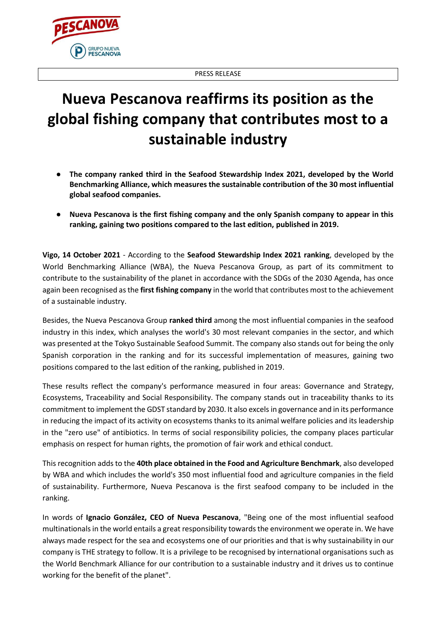

## ESCANOV **GRUPO NUEVA PESCANOVA**

## **Nueva Pescanova reaffirms its position as the global fishing company that contributes most to a sustainable industry**

- **The company ranked third in the Seafood Stewardship Index 2021, developed by the World Benchmarking Alliance, which measures the sustainable contribution of the 30 most influential global seafood companies.**
- **Nueva Pescanova is the first fishing company and the only Spanish company to appear in this ranking, gaining two positions compared to the last edition, published in 2019.**

**Vigo, 14 October 2021** - According to the **Seafood Stewardship Index 2021 ranking**, developed by the World Benchmarking Alliance (WBA), the Nueva Pescanova Group, as part of its commitment to contribute to the sustainability of the planet in accordance with the SDGs of the 2030 Agenda, has once again been recognised as the **first fishing company** in the world that contributes most to the achievement of a sustainable industry.

Besides, the Nueva Pescanova Group **ranked third** among the most influential companies in the seafood industry in this index, which analyses the world's 30 most relevant companies in the sector, and which was presented at the Tokyo Sustainable Seafood Summit. The company also stands out for being the only Spanish corporation in the ranking and for its successful implementation of measures, gaining two positions compared to the last edition of the ranking, published in 2019.

These results reflect the company's performance measured in four areas: Governance and Strategy, Ecosystems, Traceability and Social Responsibility. The company stands out in traceability thanks to its commitment to implement the GDST standard by 2030. It also excels in governance and in its performance in reducing the impact of its activity on ecosystems thanks to its animal welfare policies and its leadership in the "zero use" of antibiotics. In terms of social responsibility policies, the company places particular emphasis on respect for human rights, the promotion of fair work and ethical conduct.

This recognition adds to the **40th place obtained in the Food and Agriculture Benchmark**, also developed by WBA and which includes the world's 350 most influential food and agriculture companies in the field of sustainability. Furthermore, Nueva Pescanova is the first seafood company to be included in the ranking.

In words of **Ignacio González, CEO of Nueva Pescanova**, "Being one of the most influential seafood multinationals in the world entails a great responsibility towards the environment we operate in. We have always made respect for the sea and ecosystems one of our priorities and that is why sustainability in our company is THE strategy to follow. It is a privilege to be recognised by international organisations such as the World Benchmark Alliance for our contribution to a sustainable industry and it drives us to continue working for the benefit of the planet".